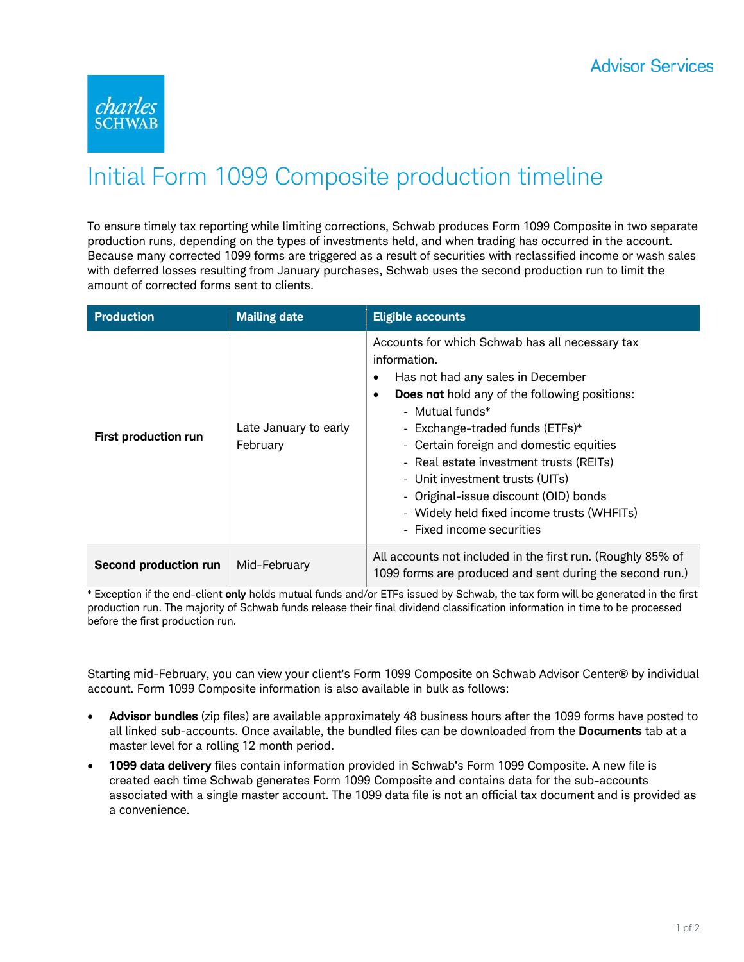

## Initial Form 1099 Composite production timeline

To ensure timely tax reporting while limiting corrections, Schwab produces Form 1099 Composite in two separate production runs, depending on the types of investments held, and when trading has occurred in the account. Because many corrected 1099 forms are triggered as a result of securities with reclassified income or wash sales with deferred losses resulting from January purchases, Schwab uses the second production run to limit the amount of corrected forms sent to clients.

| <b>Production</b>     | <b>Mailing date</b>               | <b>Eligible accounts</b>                                                                                                                                                                                                                                                                                                                                                                                                                                                  |
|-----------------------|-----------------------------------|---------------------------------------------------------------------------------------------------------------------------------------------------------------------------------------------------------------------------------------------------------------------------------------------------------------------------------------------------------------------------------------------------------------------------------------------------------------------------|
| First production run  | Late January to early<br>February | Accounts for which Schwab has all necessary tax<br>information.<br>Has not had any sales in December<br>٠<br><b>Does not</b> hold any of the following positions:<br>٠<br>- Mutual funds*<br>- Exchange-traded funds (ETFs)*<br>- Certain foreign and domestic equities<br>- Real estate investment trusts (REITs)<br>- Unit investment trusts (UITs)<br>- Original-issue discount (OID) bonds<br>- Widely held fixed income trusts (WHFITs)<br>- Fixed income securities |
| Second production run | Mid-February                      | All accounts not included in the first run. (Roughly 85% of<br>1099 forms are produced and sent during the second run.)                                                                                                                                                                                                                                                                                                                                                   |

\* Exception if the end-client **only** holds mutual funds and/or ETFs issued by Schwab, the tax form will be generated in the first production run. The majority of Schwab funds release their final dividend classification information in time to be processed before the first production run.

Starting mid-February, you can view your client's Form 1099 Composite on Schwab Advisor Center® by individual account. Form 1099 Composite information is also available in bulk as follows:

- **Advisor bundles** (zip files) are available approximately 48 business hours after the 1099 forms have posted to all linked sub-accounts. Once available, the bundled files can be downloaded from the **Documents** tab at a master level for a rolling 12 month period.
- **1099 data delivery** files contain information provided in Schwab's Form 1099 Composite. A new file is created each time Schwab generates Form 1099 Composite and contains data for the sub-accounts associated with a single master account. The 1099 data file is not an official tax document and is provided as a convenience.